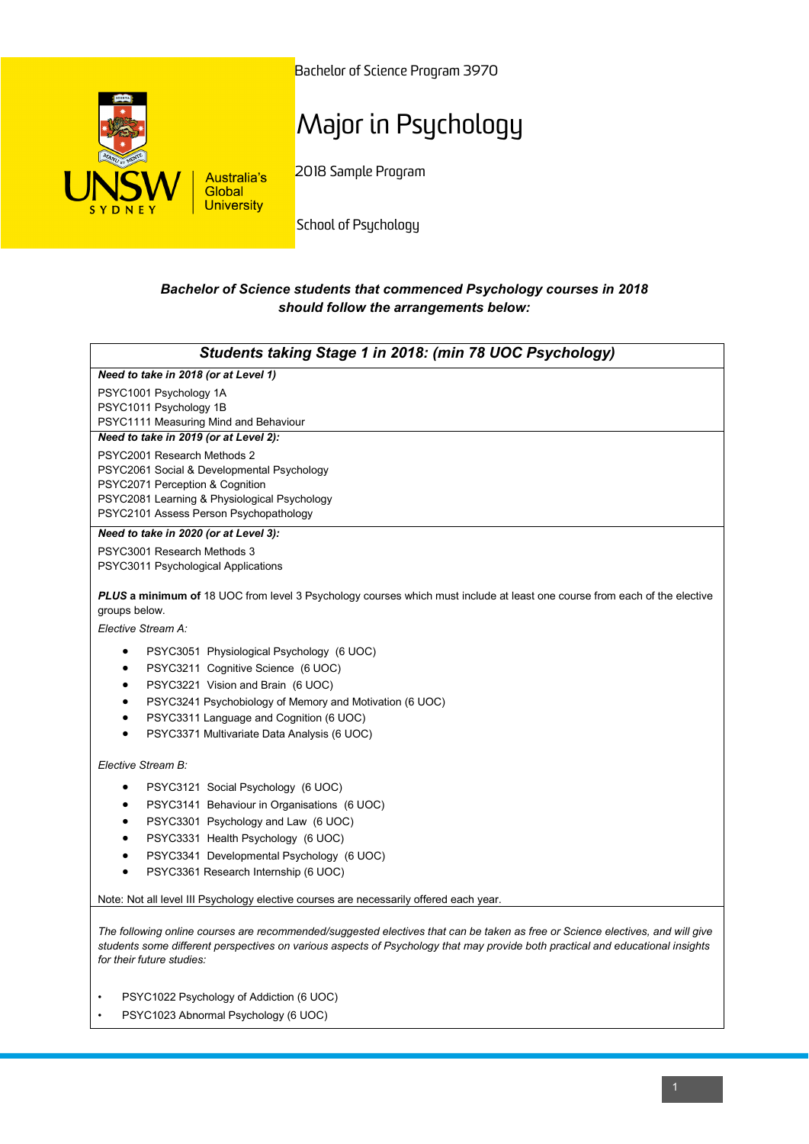

Bachelor of Science Program 3970

## Major in Psychology

2018 Sample Program

School of Psychology

## *Bachelor of Science students that commenced Psychology courses in 2018 should follow the arrangements below:*

| Students taking Stage 1 in 2018: (min 78 UOC Psychology)                                                                                   |
|--------------------------------------------------------------------------------------------------------------------------------------------|
| Need to take in 2018 (or at Level 1)                                                                                                       |
| PSYC1001 Psychology 1A                                                                                                                     |
| PSYC1011 Psychology 1B                                                                                                                     |
| PSYC1111 Measuring Mind and Behaviour                                                                                                      |
| Need to take in 2019 (or at Level 2):                                                                                                      |
| PSYC2001 Research Methods 2                                                                                                                |
| PSYC2061 Social & Developmental Psychology<br>PSYC2071 Perception & Cognition                                                              |
| PSYC2081 Learning & Physiological Psychology                                                                                               |
| PSYC2101 Assess Person Psychopathology                                                                                                     |
| Need to take in 2020 (or at Level 3):                                                                                                      |
| PSYC3001 Research Methods 3                                                                                                                |
| PSYC3011 Psychological Applications                                                                                                        |
| PLUS a minimum of 18 UOC from level 3 Psychology courses which must include at least one course from each of the elective<br>groups below. |
| Elective Stream A:                                                                                                                         |
| PSYC3051 Physiological Psychology (6 UOC)<br>$\bullet$                                                                                     |
| PSYC3211 Cognitive Science (6 UOC)<br>$\bullet$                                                                                            |
| PSYC3221 Vision and Brain (6 UOC)<br>$\bullet$                                                                                             |
| PSYC3241 Psychobiology of Memory and Motivation (6 UOC)<br>$\bullet$                                                                       |
| PSYC3311 Language and Cognition (6 UOC)<br>$\bullet$                                                                                       |
| PSYC3371 Multivariate Data Analysis (6 UOC)                                                                                                |
| Elective Stream B:                                                                                                                         |
| PSYC3121 Social Psychology (6 UOC)<br>$\bullet$                                                                                            |
| PSYC3141 Behaviour in Organisations (6 UOC)<br>$\bullet$                                                                                   |
| PSYC3301 Psychology and Law (6 UOC)<br>٠                                                                                                   |
| PSYC3331 Health Psychology (6 UOC)<br>$\bullet$                                                                                            |
| PSYC3341 Developmental Psychology (6 UOC)<br>$\bullet$                                                                                     |
| PSYC3361 Research Internship (6 UOC)<br>$\bullet$                                                                                          |
| Note: Not all level III Psychology elective courses are necessarily offered each year.                                                     |
|                                                                                                                                            |

*The following online courses are recommended/suggested electives that can be taken as free or Science electives, and will give students some different perspectives on various aspects of Psychology that may provide both practical and educational insights for their future studies:*

- PSYC1022 Psychology of Addiction (6 UOC)
- PSYC1023 Abnormal Psychology (6 UOC)